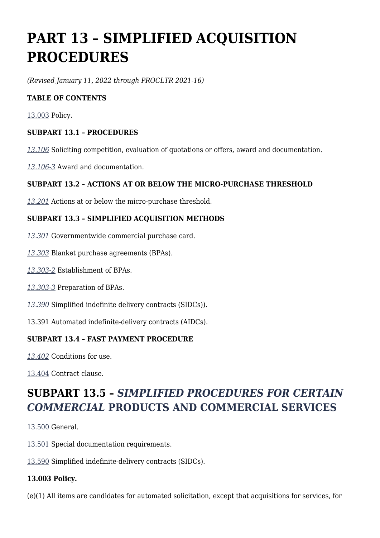# **PART 13 – SIMPLIFIED ACQUISITION PROCEDURES**

*(Revised January 11, 2022 through PROCLTR 2021-16)*

#### **TABLE OF CONTENTS**

[13.003](https://www.acquisition.gov/%5Brp:link:dlad-part-13%5D#P13_003) Policy.

#### **SUBPART 13.1 – PROCEDURES**

*[13.106](https://www.acquisition.gov/%5Brp:link:dlad-part-13%5D#P13_106)* Soliciting competition, evaluation of quotations or offers, award and documentation.

*[13.106-3](https://www.acquisition.gov/%5Brp:link:dlad-part-13%5D#P13_106_3)* Award and documentation.

#### **SUBPART 13.2 – ACTIONS AT OR BELOW THE MICRO-PURCHASE THRESHOLD**

*[13.201](https://www.acquisition.gov/%5Brp:link:dlad-part-13%5D#P13_201)* Actions at or below the micro-purchase threshold.

#### **SUBPART 13.3 – SIMPLIFIED ACQUISITION METHODS**

- *[13.301](https://www.acquisition.gov/%5Brp:link:dlad-part-13%5D#P13_301)* Governmentwide commercial purchase card.
- *[13.303](https://www.acquisition.gov/%5Brp:link:dlad-part-13%5D#P13_303)* Blanket purchase agreements (BPAs).
- *[13.303-2](https://www.acquisition.gov/%5Brp:link:dlad-part-13%5D#P13_303_2)* Establishment of BPAs.
- *[13.303-3](https://www.acquisition.gov/%5Brp:link:dlad-part-13%5D#P13_303_3)* Preparation of BPAs.
- *[13.390](https://www.acquisition.gov/%5Brp:link:dlad-part-13%5D#P13_390)* Simplified indefinite delivery contracts (SIDCs)).
- 13.391 Automated indefinite-delivery contracts (AIDCs).

#### **SUBPART 13.4 – FAST PAYMENT PROCEDURE**

*[13.402](https://www.acquisition.gov/%5Brp:link:dlad-part-13%5D#P13_402)* Conditions for use.

[13.404](https://www.acquisition.gov/%5Brp:link:dlad-part-13%5D#P13_404) Contract clause.

# **SUBPART 13.5 –** *[SIMPLIFIED PROCEDURES FOR CERTAIN](https://www.ecfr.gov/cgi-bin/text-idx?SID=4d0380000d1d23054432423ef084c149&mc=true&node=sp48.1.13.13_15&rgn=div6) [COMMERCIAL](https://www.ecfr.gov/cgi-bin/text-idx?SID=4d0380000d1d23054432423ef084c149&mc=true&node=sp48.1.13.13_15&rgn=div6)* **[PRODUCTS AND COMMERCIAL SERVICES](https://www.ecfr.gov/cgi-bin/text-idx?SID=4d0380000d1d23054432423ef084c149&mc=true&node=sp48.1.13.13_15&rgn=div6)**

[13.500](https://www.acquisition.gov/%5Brp:link:dlad-part-13%5D#P13_500) General.

- [13.501](https://www.acquisition.gov/%5Brp:link:dlad-part-13%5D#P13_501) Special documentation requirements.
- [13.590](https://www.acquisition.gov/%5Brp:link:dlad-part-13%5D#P13_590) Simplified indefinite-delivery contracts (SIDCs).

#### **13.003 Policy.**

(e)(1) All items are candidates for automated solicitation, except that acquisitions for services, for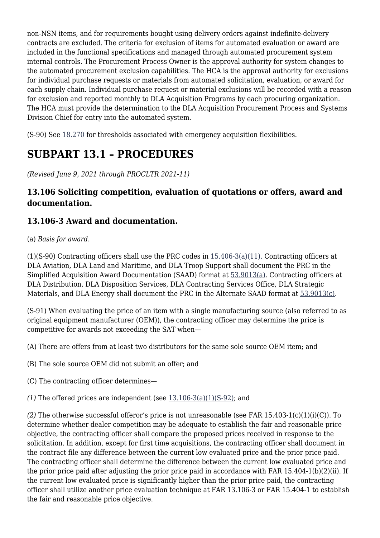non-NSN items, and for requirements bought using delivery orders against indefinite-delivery contracts are excluded. The criteria for exclusion of items for automated evaluation or award are included in the functional specifications and managed through automated procurement system internal controls. The Procurement Process Owner is the approval authority for system changes to the automated procurement exclusion capabilities. The HCA is the approval authority for exclusions for individual purchase requests or materials from automated solicitation, evaluation, or award for each supply chain. Individual purchase request or material exclusions will be recorded with a reason for exclusion and reported monthly to DLA Acquisition Programs by each procuring organization. The HCA must provide the determination to the DLA Acquisition Procurement Process and Systems Division Chief for entry into the automated system.

(S-90) See [18.270](https://www.acquisition.gov/%5Brp:link:dlad-part-18%5D#P18_271) for thresholds associated with emergency acquisition flexibilities.

# **SUBPART 13.1 – PROCEDURES**

*(Revised June 9, 2021 through PROCLTR 2021-11)*

### **13.106 Soliciting competition, evaluation of quotations or offers, award and documentation.**

### **13.106-3 Award and documentation.**

(a) *Basis for award*.

(1)(S-90) Contracting officers shall use the PRC codes in [15.406-3\(a\)\(11\).](https://www.acquisition.gov/%5Brp:link:dlad-part-15%5D#P15_406_3_a_11) Contracting officers at DLA Aviation, DLA Land and Maritime, and DLA Troop Support shall document the PRC in the Simplified Acquisition Award Documentation (SAAD) format at [53.9013\(a\).](https://www.acquisition.gov/%5Brp:link:dlad-part-53%5D#P53_9013_a) Contracting officers at DLA Distribution, DLA Disposition Services, DLA Contracting Services Office, DLA Strategic Materials, and DLA Energy shall document the PRC in the Alternate SAAD format at [53.9013\(c\).](https://www.acquisition.gov/%5Brp:link:dlad-part-53%5D#P53_9013_c)

(S-91) When evaluating the price of an item with a single manufacturing source (also referred to as original equipment manufacturer (OEM)), the contracting officer may determine the price is competitive for awards not exceeding the SAT when—

(A) There are offers from at least two distributors for the same sole source OEM item; and

(B) The sole source OEM did not submit an offer; and

(C) The contracting officer determines—

(1) The offered prices are independent (see  $13.106-3(a)(1)(S-92)$ ; and

*(2)* The otherwise successful offeror's price is not unreasonable (see FAR 15.403-1(c)(1)(i)(C)). To determine whether dealer competition may be adequate to establish the fair and reasonable price objective, the contracting officer shall compare the proposed prices received in response to the solicitation. In addition, except for first time acquisitions, the contracting officer shall document in the contract file any difference between the current low evaluated price and the prior price paid. The contracting officer shall determine the difference between the current low evaluated price and the prior price paid after adjusting the prior price paid in accordance with FAR 15.404-1(b)(2)(ii). If the current low evaluated price is significantly higher than the prior price paid, the contracting officer shall utilize another price evaluation technique at FAR 13.106-3 or FAR 15.404-1 to establish the fair and reasonable price objective.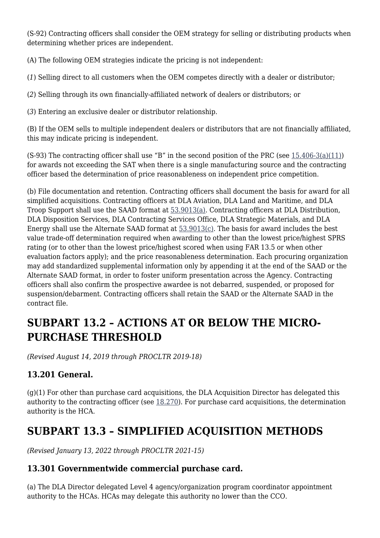(S-92) Contracting officers shall consider the OEM strategy for selling or distributing products when determining whether prices are independent.

(A) The following OEM strategies indicate the pricing is not independent:

(*1*) Selling direct to all customers when the OEM competes directly with a dealer or distributor;

(*2*) Selling through its own financially-affiliated network of dealers or distributors; or

(*3*) Entering an exclusive dealer or distributor relationship.

(B) If the OEM sells to multiple independent dealers or distributors that are not financially affiliated, this may indicate pricing is independent.

(S-93) The contracting officer shall use "B" in the second position of the PRC (see  $15.406-3(a)(11)$ ) for awards not exceeding the SAT when there is a single manufacturing source and the contracting officer based the determination of price reasonableness on independent price competition.

(b) File documentation and retention. Contracting officers shall document the basis for award for all simplified acquisitions. Contracting officers at DLA Aviation, DLA Land and Maritime, and DLA Troop Support shall use the SAAD format at [53.9013\(a\).](https://www.acquisition.gov/%5Brp:link:dlad-part-53%5D#P53_9013_a) Contracting officers at DLA Distribution, DLA Disposition Services, DLA Contracting Services Office, DLA Strategic Materials, and DLA Energy shall use the Alternate SAAD format at [53.9013\(c\).](https://www.acquisition.gov/%5Brp:link:dlad-part-53%5D#P53_9013_c) The basis for award includes the best value trade-off determination required when awarding to other than the lowest price/highest SPRS rating (or to other than the lowest price/highest scored when using FAR 13.5 or when other evaluation factors apply); and the price reasonableness determination. Each procuring organization may add standardized supplemental information only by appending it at the end of the SAAD or the Alternate SAAD format, in order to foster uniform presentation across the Agency. Contracting officers shall also confirm the prospective awardee is not debarred, suspended, or proposed for suspension/debarment. Contracting officers shall retain the SAAD or the Alternate SAAD in the contract file.

# **SUBPART 13.2 – ACTIONS AT OR BELOW THE MICRO-PURCHASE THRESHOLD**

*(Revised August 14, 2019 through PROCLTR 2019-18)*

### **13.201 General.**

 $(q)(1)$  For other than purchase card acquisitions, the DLA Acquisition Director has delegated this authority to the contracting officer (see [18.270](https://www.acquisition.gov/%5Brp:link:dlad-part-18%5D#P18_270)). For purchase card acquisitions, the determination authority is the HCA.

# **SUBPART 13.3 – SIMPLIFIED ACQUISITION METHODS**

*(Revised January 13, 2022 through PROCLTR 2021-15)*

#### **13.301 Governmentwide commercial purchase card.**

(a) The DLA Director delegated Level 4 agency/organization program coordinator appointment authority to the HCAs. HCAs may delegate this authority no lower than the CCO.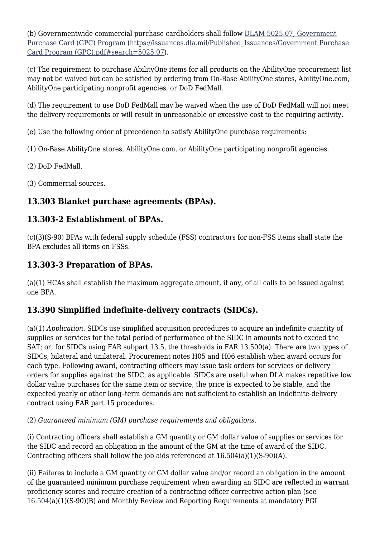(b) Governmentwide commercial purchase cardholders shall follow [DLAM 5025.07, Government](https://issuances.dla.mil/Published_Issuances/Government%20Purchase%20Card%20Program%20(GPC).pdf#search=5025.07) [Purchase Card \(GPC\) Program](https://issuances.dla.mil/Published_Issuances/Government%20Purchase%20Card%20Program%20(GPC).pdf#search=5025.07) ([https://issuances.dla.mil/Published\\_Issuances/Government Purchase](https://issuances.dla.mil/Published_Issuances/Government%20Purchase%20Card%20Program%20(GPC).pdf#search=5025.07) [Card Program \(GPC\).pdf#search=5025.07](https://issuances.dla.mil/Published_Issuances/Government%20Purchase%20Card%20Program%20(GPC).pdf#search=5025.07)).

(c) The requirement to purchase AbilityOne items for all products on the AbilityOne procurement list may not be waived but can be satisfied by ordering from On-Base AbilityOne stores, AbilityOne.com, AbilityOne participating nonprofit agencies, or DoD FedMall.

(d) The requirement to use DoD FedMall may be waived when the use of DoD FedMall will not meet the delivery requirements or will result in unreasonable or excessive cost to the requiring activity.

(e) Use the following order of precedence to satisfy AbilityOne purchase requirements:

(1) On-Base AbilityOne stores, AbilityOne.com, or AbilityOne participating nonprofit agencies.

(2) DoD FedMall.

(3) Commercial sources.

## **13.303 Blanket purchase agreements (BPAs).**

### **13.303-2 Establishment of BPAs.**

(c)(3)(S-90) BPAs with federal supply schedule (FSS) contractors for non-FSS items shall state the BPA excludes all items on FSSs.

### **13.303-3 Preparation of BPAs.**

(a)(1) HCAs shall establish the maximum aggregate amount, if any, of all calls to be issued against one BPA.

# **13.390 Simplified indefinite-delivery contracts (SIDCs).**

(a)(1) *Application*. SIDCs use simplified acquisition procedures to acquire an indefinite quantity of supplies or services for the total period of performance of the SIDC in amounts not to exceed the SAT; or, for SIDCs using FAR subpart 13.5, the thresholds in FAR 13.500(a). There are two types of SIDCs, bilateral and unilateral. Procurement notes H05 and H06 establish when award occurs for each type. Following award, contracting officers may issue task orders for services or delivery orders for supplies against the SIDC, as applicable. SIDCs are useful when DLA makes repetitive low dollar value purchases for the same item or service, the price is expected to be stable, and the expected yearly or other long–term demands are not sufficient to establish an indefinite-delivery contract using FAR part 15 procedures.

(2) *Guaranteed minimum (GM) purchase requirements and obligations*.

(i) Contracting officers shall establish a GM quantity or GM dollar value of supplies or services for the SIDC and record an obligation in the amount of the GM at the time of award of the SIDC. Contracting officers shall follow the job aids referenced at 16.504(a)(1)(S-90)(A).

(ii) Failures to include a GM quantity or GM dollar value and/or record an obligation in the amount of the guaranteed minimum purchase requirement when awarding an SIDC are reflected in warrant proficiency scores and require creation of a contracting officer corrective action plan (see [16.504](https://www.acquisition.gov/%5Brp:link:dlad-part-16%5D#P16_504)(a)(1)(S-90)(B) and Monthly Review and Reporting Requirements at mandatory PGI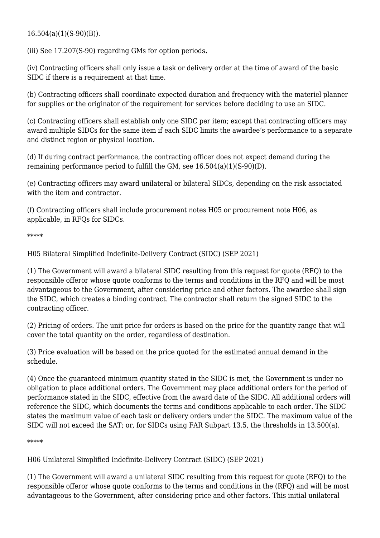16.504(a)(1)(S-90)(B)).

(iii) See 17.207(S-90) regarding GMs for option periods**.**

(iv) Contracting officers shall only issue a task or delivery order at the time of award of the basic SIDC if there is a requirement at that time.

(b) Contracting officers shall coordinate expected duration and frequency with the materiel planner for supplies or the originator of the requirement for services before deciding to use an SIDC.

(c) Contracting officers shall establish only one SIDC per item; except that contracting officers may award multiple SIDCs for the same item if each SIDC limits the awardee's performance to a separate and distinct region or physical location.

(d) If during contract performance, the contracting officer does not expect demand during the remaining performance period to fulfill the GM, see 16.504(a)(1)(S-90)(D).

(e) Contracting officers may award unilateral or bilateral SIDCs, depending on the risk associated with the item and contractor.

(f) Contracting officers shall include procurement notes H05 or procurement note H06, as applicable, in RFQs for SIDCs.

\*\*\*\*\*

H05 Bilateral Simplified Indefinite-Delivery Contract (SIDC) (SEP 2021)

(1) The Government will award a bilateral SIDC resulting from this request for quote (RFQ) to the responsible offeror whose quote conforms to the terms and conditions in the RFQ and will be most advantageous to the Government, after considering price and other factors. The awardee shall sign the SIDC, which creates a binding contract. The contractor shall return the signed SIDC to the contracting officer.

(2) Pricing of orders. The unit price for orders is based on the price for the quantity range that will cover the total quantity on the order, regardless of destination.

(3) Price evaluation will be based on the price quoted for the estimated annual demand in the schedule.

(4) Once the guaranteed minimum quantity stated in the SIDC is met, the Government is under no obligation to place additional orders. The Government may place additional orders for the period of performance stated in the SIDC, effective from the award date of the SIDC. All additional orders will reference the SIDC, which documents the terms and conditions applicable to each order. The SIDC states the maximum value of each task or delivery orders under the SIDC. The maximum value of the SIDC will not exceed the SAT; or, for SIDCs using FAR Subpart 13.5, the thresholds in 13.500(a).

\*\*\*\*\*

H06 Unilateral Simplified Indefinite-Delivery Contract (SIDC) (SEP 2021)

(1) The Government will award a unilateral SIDC resulting from this request for quote (RFQ) to the responsible offeror whose quote conforms to the terms and conditions in the (RFQ) and will be most advantageous to the Government, after considering price and other factors. This initial unilateral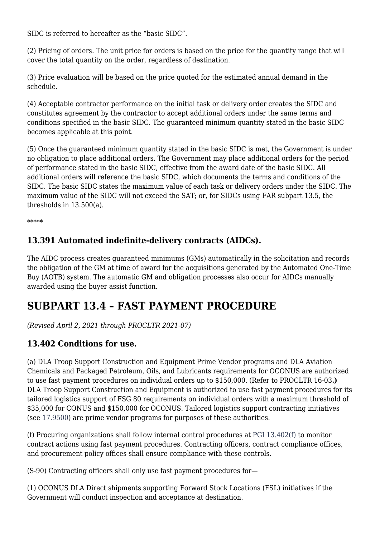SIDC is referred to hereafter as the "basic SIDC".

(2) Pricing of orders. The unit price for orders is based on the price for the quantity range that will cover the total quantity on the order, regardless of destination.

(3) Price evaluation will be based on the price quoted for the estimated annual demand in the schedule.

(4) Acceptable contractor performance on the initial task or delivery order creates the SIDC and constitutes agreement by the contractor to accept additional orders under the same terms and conditions specified in the basic SIDC. The guaranteed minimum quantity stated in the basic SIDC becomes applicable at this point.

(5) Once the guaranteed minimum quantity stated in the basic SIDC is met, the Government is under no obligation to place additional orders. The Government may place additional orders for the period of performance stated in the basic SIDC, effective from the award date of the basic SIDC. All additional orders will reference the basic SIDC, which documents the terms and conditions of the SIDC. The basic SIDC states the maximum value of each task or delivery orders under the SIDC. The maximum value of the SIDC will not exceed the SAT; or, for SIDCs using FAR subpart 13.5, the thresholds in 13.500(a).

\*\*\*\*\*

#### **13.391 Automated indefinite-delivery contracts (AIDCs).**

The AIDC process creates guaranteed minimums (GMs) automatically in the solicitation and records the obligation of the GM at time of award for the acquisitions generated by the Automated One-Time Buy (AOTB) system. The automatic GM and obligation processes also occur for AIDCs manually awarded using the buyer assist function.

# **SUBPART 13.4 – FAST PAYMENT PROCEDURE**

*(Revised April 2, 2021 through PROCLTR 2021-07)*

#### **13.402 Conditions for use.**

(a) DLA Troop Support Construction and Equipment Prime Vendor programs and DLA Aviation Chemicals and Packaged Petroleum, Oils, and Lubricants requirements for OCONUS are authorized to use fast payment procedures on individual orders up to \$150,000. (Refer to PROCLTR 16-03**.)** DLA Troop Support Construction and Equipment is authorized to use fast payment procedures for its tailored logistics support of FSG 80 requirements on individual orders with a maximum threshold of \$35,000 for CONUS and \$150,000 for OCONUS. Tailored logistics support contracting initiatives (see [17.9500](https://www.acquisition.gov/%5Brp:link:dlad-part-17%5D#P17_9500)) are prime vendor programs for purposes of these authorities.

(f) Procuring organizations shall follow internal control procedures at  $PGI$  13.402(f) to monitor contract actions using fast payment procedures. Contracting officers, contract compliance offices, and procurement policy offices shall ensure compliance with these controls.

(S-90) Contracting officers shall only use fast payment procedures for—

(1) OCONUS DLA Direct shipments supporting Forward Stock Locations (FSL) initiatives if the Government will conduct inspection and acceptance at destination.